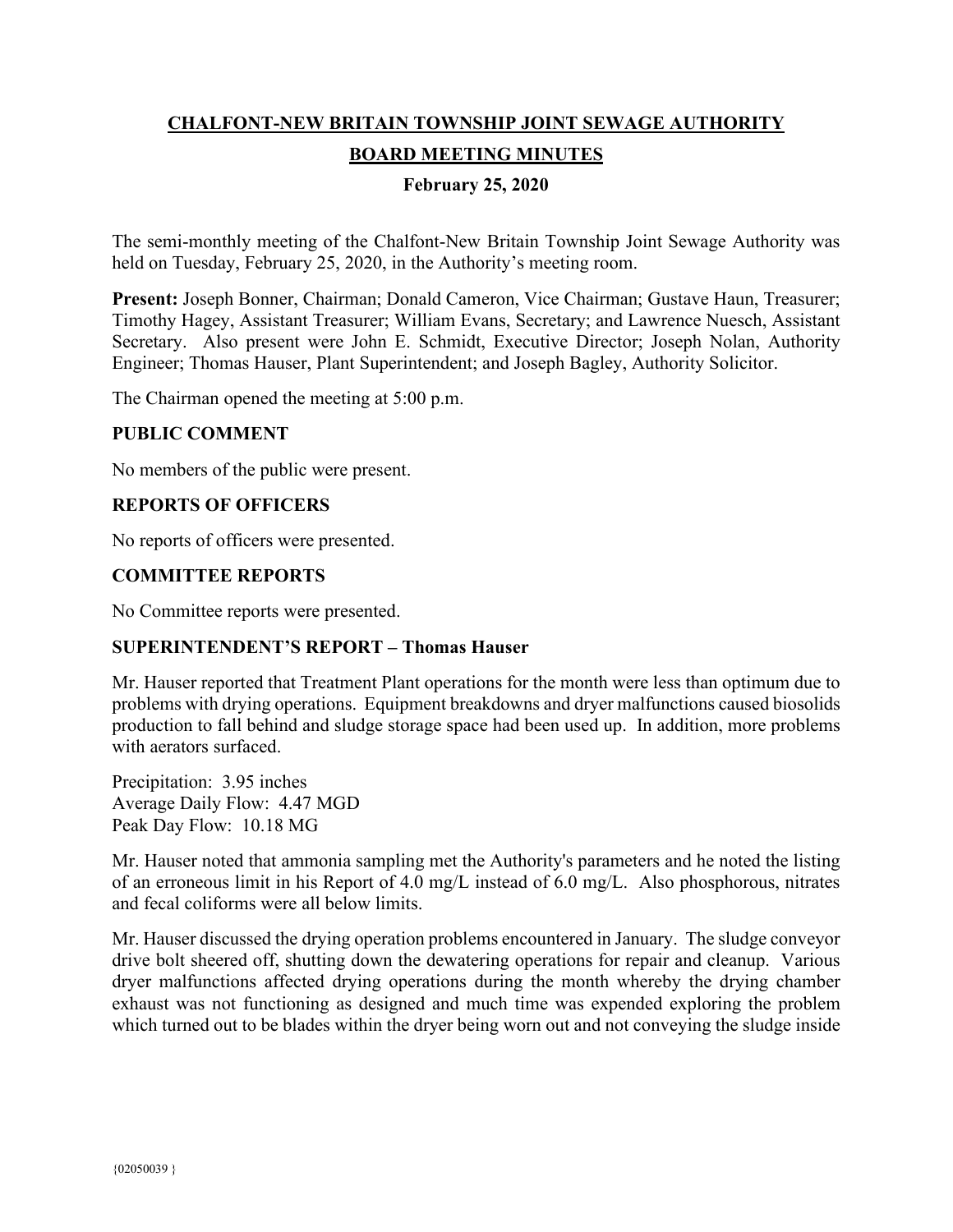# **CHALFONT-NEW BRITAIN TOWNSHIP JOINT SEWAGE AUTHORITY BOARD MEETING MINUTES**

### **February 25, 2020**

The semi-monthly meeting of the Chalfont-New Britain Township Joint Sewage Authority was held on Tuesday, February 25, 2020, in the Authority's meeting room.

**Present:** Joseph Bonner, Chairman; Donald Cameron, Vice Chairman; Gustave Haun, Treasurer; Timothy Hagey, Assistant Treasurer; William Evans, Secretary; and Lawrence Nuesch, Assistant Secretary. Also present were John E. Schmidt, Executive Director; Joseph Nolan, Authority Engineer; Thomas Hauser, Plant Superintendent; and Joseph Bagley, Authority Solicitor.

The Chairman opened the meeting at 5:00 p.m.

### **PUBLIC COMMENT**

No members of the public were present.

### **REPORTS OF OFFICERS**

No reports of officers were presented.

### **COMMITTEE REPORTS**

No Committee reports were presented.

### **SUPERINTENDENT'S REPORT – Thomas Hauser**

Mr. Hauser reported that Treatment Plant operations for the month were less than optimum due to problems with drying operations. Equipment breakdowns and dryer malfunctions caused biosolids production to fall behind and sludge storage space had been used up. In addition, more problems with aerators surfaced.

Precipitation: 3.95 inches Average Daily Flow: 4.47 MGD Peak Day Flow: 10.18 MG

Mr. Hauser noted that ammonia sampling met the Authority's parameters and he noted the listing of an erroneous limit in his Report of 4.0 mg/L instead of 6.0 mg/L. Also phosphorous, nitrates and fecal coliforms were all below limits.

Mr. Hauser discussed the drying operation problems encountered in January. The sludge conveyor drive bolt sheered off, shutting down the dewatering operations for repair and cleanup. Various dryer malfunctions affected drying operations during the month whereby the drying chamber exhaust was not functioning as designed and much time was expended exploring the problem which turned out to be blades within the dryer being worn out and not conveying the sludge inside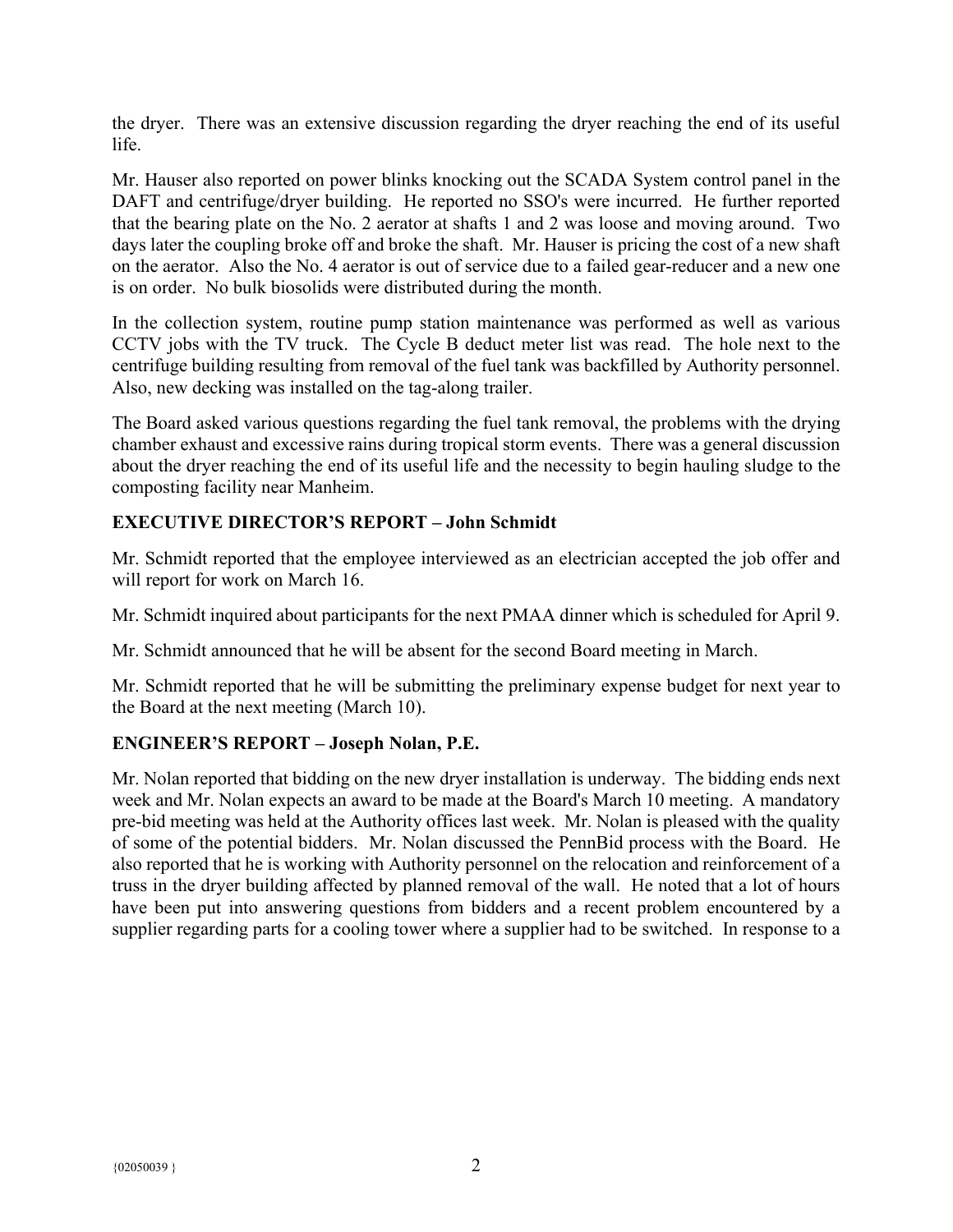the dryer. There was an extensive discussion regarding the dryer reaching the end of its useful life.

Mr. Hauser also reported on power blinks knocking out the SCADA System control panel in the DAFT and centrifuge/dryer building. He reported no SSO's were incurred. He further reported that the bearing plate on the No. 2 aerator at shafts 1 and 2 was loose and moving around. Two days later the coupling broke off and broke the shaft. Mr. Hauser is pricing the cost of a new shaft on the aerator. Also the No. 4 aerator is out of service due to a failed gear-reducer and a new one is on order. No bulk biosolids were distributed during the month.

In the collection system, routine pump station maintenance was performed as well as various CCTV jobs with the TV truck. The Cycle B deduct meter list was read. The hole next to the centrifuge building resulting from removal of the fuel tank was backfilled by Authority personnel. Also, new decking was installed on the tag-along trailer.

The Board asked various questions regarding the fuel tank removal, the problems with the drying chamber exhaust and excessive rains during tropical storm events. There was a general discussion about the dryer reaching the end of its useful life and the necessity to begin hauling sludge to the composting facility near Manheim.

# **EXECUTIVE DIRECTOR'S REPORT – John Schmidt**

Mr. Schmidt reported that the employee interviewed as an electrician accepted the job offer and will report for work on March 16.

Mr. Schmidt inquired about participants for the next PMAA dinner which is scheduled for April 9.

Mr. Schmidt announced that he will be absent for the second Board meeting in March.

Mr. Schmidt reported that he will be submitting the preliminary expense budget for next year to the Board at the next meeting (March 10).

## **ENGINEER'S REPORT – Joseph Nolan, P.E.**

Mr. Nolan reported that bidding on the new dryer installation is underway. The bidding ends next week and Mr. Nolan expects an award to be made at the Board's March 10 meeting. A mandatory pre-bid meeting was held at the Authority offices last week. Mr. Nolan is pleased with the quality of some of the potential bidders. Mr. Nolan discussed the PennBid process with the Board. He also reported that he is working with Authority personnel on the relocation and reinforcement of a truss in the dryer building affected by planned removal of the wall. He noted that a lot of hours have been put into answering questions from bidders and a recent problem encountered by a supplier regarding parts for a cooling tower where a supplier had to be switched. In response to a